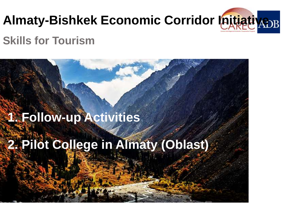

### **Skills for Tourism**

# **1. Follow-up Activities**

# **2. Pilot College in Almaty (Oblast)**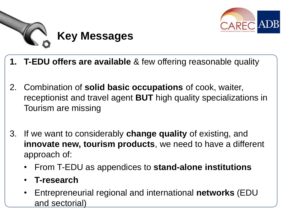



- **1. T-EDU offers are available** & few offering reasonable quality
- 2. Combination of **solid basic occupations** of cook, waiter, receptionist and travel agent **BUT** high quality specializations in Tourism are missing
- 3. If we want to considerably **change quality** of existing, and **innovate new, tourism products**, we need to have a different approach of:
	- From T-EDU as appendices to **stand-alone institutions**
	- **T-research**
	- Entrepreneurial regional and international **networks** (EDU and sectorial)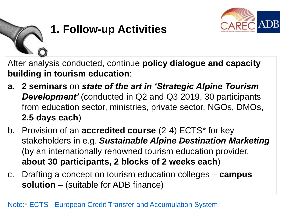

## **1. Follow-up Activities**

After analysis conducted, continue **policy dialogue and capacity building in tourism education**:

- **a. 2 seminars** on *state of the art in 'Strategic Alpine Tourism Development'* (conducted in Q2 and Q3 2019, 30 participants from education sector, ministries, private sector, NGOs, DMOs, **2.5 days each**)
- b. Provision of an **accredited course** (2-4) ECTS\* for key stakeholders in e.g. *Sustainable Alpine Destination Marketing* (by an internationally renowned tourism education provider, **about 30 participants, 2 blocks of 2 weeks each**)
- c. Drafting a concept on tourism education colleges **campus solution** – (suitable for ADB finance)

#### [Note:\\* ECTS -](https://ec.europa.eu/education/resources-and-tools/european-credit-transfer-and-accumulation-system-ects_en) [European Credit Transfer and Accumulation System](https://ec.europa.eu/education/resources-and-tools/european-credit-transfer-and-accumulation-system-ects_en)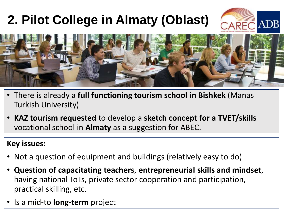## **2. Pilot College in Almaty (Oblast)**





- There is already a **full functioning tourism school in Bishkek** (Manas Turkish University)
- **KAZ tourism requested** to develop a **sketch concept for a TVET/skills** vocational school in **Almaty** as a suggestion for ABEC.

#### **Key issues:**

- Not a question of equipment and buildings (relatively easy to do)
- **Question of capacitating teachers**, **entrepreneurial skills and mindset**, having national ToTs, private sector cooperation and participation, practical skilling, etc.
- Is a mid-to **long-term** project